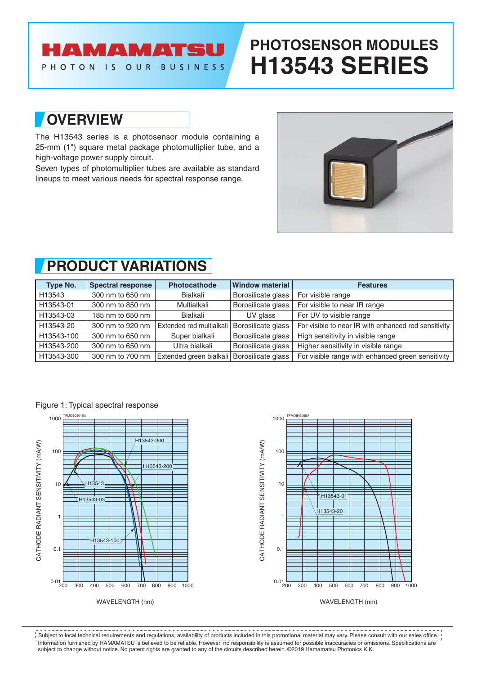## **AMAMATS**

OUR

 $\overline{15}$ 

**BUSINESS** 

# **PHOTOSENSOR MODULES H13543 SERIES**

### **OVERVIEW**

PHOTON

The H13543 series is a photosensor module containing a 25-mm (1") square metal package photomultiplier tube, and a high-voltage power supply circuit.

Seven types of photomultiplier tubes are available as standard lineups to meet various needs for spectral response range.



### **PRODUCT VARIATIONS**

| Type No.   | Spectral response | <b>Photocathode</b>                        | <b>Window material</b> | <b>Features</b>                                      |
|------------|-------------------|--------------------------------------------|------------------------|------------------------------------------------------|
| H13543     | 300 nm to 650 nm  | Bialkali                                   | Borosilicate glass     | For visible range                                    |
| H13543-01  | 300 nm to 850 nm  | Multialkali                                | Borosilicate glass     | For visible to near IR range                         |
| H13543-03  | 185 nm to 650 nm  | Bialkali                                   | UV glass               | For UV to visible range                              |
| H13543-20  | 300 nm to 920 nm  | Extended red multialkali                   | Borosilicate glass     | For visible to near IR with enhanced red sensitivity |
| H13543-100 | 300 nm to 650 nm  | Super bialkali                             | Borosilicate glass     | High sensitivity in visible range                    |
| H13543-200 | 300 nm to 650 nm  | Ultra bialkali                             | Borosilicate glass     | Higher sensitivity in visible range                  |
| H13543-300 | 300 nm to 700 nm  | Extended green bialkali Borosilicate glass |                        | For visible range with enhanced green sensitivity    |





Information furnished by HAMAMATSU is believed to be reliable. However, no responsibility is assumed for possible inaccuracies or omissions. Specifications are subject to change without notice. No patent rights are granted to any of the circuits described herein. ©2019 Hamamatsu Photonics K.K. Subject to local technical requirements and regulations, availability of products included in this promotional material may vary. Please consult with our sales office.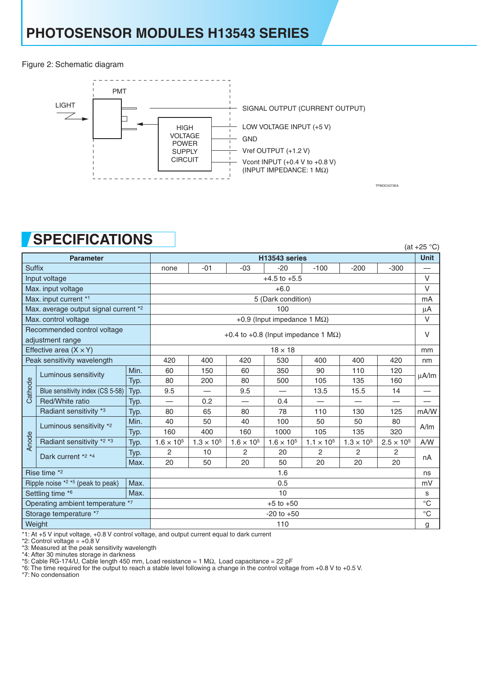Figure 2: Schematic diagram



TPMOC0273EA

### **SPECIFICATIONS**

|                                                 | UI LUII IUAI IUITU               |               |                                             |                     |                     |                     |                               |                     |                          | (at $+25$ °C) |
|-------------------------------------------------|----------------------------------|---------------|---------------------------------------------|---------------------|---------------------|---------------------|-------------------------------|---------------------|--------------------------|---------------|
|                                                 | <b>Parameter</b>                 | H13543 series |                                             |                     |                     |                     |                               |                     |                          |               |
| <b>Suffix</b>                                   |                                  |               | none                                        | $-01$               | $-03$               | $-20$               | $-100$                        | $-200$              | $-300$                   |               |
| Input voltage                                   |                                  |               | $+4.5$ to $+5.5$                            |                     |                     |                     |                               |                     |                          |               |
| Max. input voltage                              |                                  |               | $+6.0$                                      |                     |                     |                     |                               |                     |                          |               |
| Max. input current *1                           |                                  |               | 5 (Dark condition)                          |                     |                     |                     |                               |                     |                          |               |
| Max. average output signal current *2           |                                  |               | 100                                         |                     |                     |                     |                               |                     |                          |               |
| Max. control voltage                            |                                  |               | +0.9 (Input impedance 1 $M\Omega$ )         |                     |                     |                     |                               |                     |                          |               |
| Recommended control voltage<br>adjustment range |                                  |               | +0.4 to +0.8 (Input impedance 1 $M\Omega$ ) |                     |                     |                     |                               |                     |                          |               |
| Effective area $(X \times Y)$                   |                                  |               | $18 \times 18$                              |                     |                     |                     |                               |                     |                          | mm            |
| Peak sensitivity wavelength                     |                                  |               | 420                                         | 400                 | 420                 | 530                 | 400                           | 400                 | 420                      | nm            |
| Cathode                                         | Luminous sensitivity             | Min.          | 60                                          | 150                 | 60                  | 350                 | 90                            | 110                 | 120                      | uA/lm         |
|                                                 |                                  | Typ.          | 80                                          | 200                 | 80                  | 500                 | 105                           | 135                 | 160                      |               |
|                                                 | Blue sensitivity index (CS 5-58) | Typ.          | 9.5                                         |                     | 9.5                 |                     | 13.5                          | 15.5                | 14                       |               |
|                                                 | Red/White ratio                  | Typ.          |                                             | 0.2                 |                     | 0.4                 | $\overbrace{\phantom{12333}}$ |                     | $\overline{\phantom{0}}$ |               |
|                                                 | Radiant sensitivity *3           | Typ.          | 80                                          | 65                  | 80                  | 78                  | 110                           | 130                 | 125                      | mA/W          |
|                                                 | Luminous sensitivity *2          | Min.          | 40                                          | 50                  | 40                  | 100                 | 50                            | 50                  | 80                       | A/m           |
|                                                 |                                  | Typ.          | 160                                         | 400                 | 160                 | 1000                | 105                           | 135                 | 320                      |               |
| Anode                                           | Radiant sensitivity *2 *3        | Typ.          | $1.6 \times 10^{5}$                         | $1.3 \times 10^{5}$ | $1.6 \times 10^{5}$ | $1.6 \times 10^{5}$ | $1.1 \times 10^{5}$           | $1.3 \times 10^{5}$ | $2.5 \times 10^{5}$      | A/W           |
|                                                 | Dark current *2 *4               | Typ.          | $\mathcal{P}$                               | 10                  | $\mathcal{P}$       | 20                  | $\mathcal{P}$                 | $\mathcal{P}$       | 2                        | nA            |
|                                                 |                                  | Max.          | 20                                          | 50                  | 20                  | 50                  | 20                            | 20                  | 20                       |               |
| Rise time *2                                    |                                  |               | 1.6                                         |                     |                     |                     |                               |                     |                          |               |
| Max.<br>Ripple noise *2 *5 (peak to peak)       |                                  | 0.5           |                                             |                     |                     |                     |                               |                     |                          |               |
| Settling time *6<br>Max.                        |                                  | 10            |                                             |                     |                     |                     |                               |                     |                          |               |
| Operating ambient temperature *7                |                                  |               | $+5$ to $+50$                               |                     |                     |                     |                               |                     |                          |               |
| Storage temperature *7                          |                                  |               | $-20$ to $+50$                              |                     |                     |                     |                               |                     |                          | $^{\circ}$ C  |
| Weight                                          |                                  |               | 110                                         |                     |                     |                     |                               |                     |                          | g             |

\*1: At +5 V input voltage, +0.8 V control voltage, and output current equal to dark current

\*2: Control voltage = +0.8 V

\*3: Measured at the peak sensitivity wavelength

\*4: After 30 minutes storage in darkness

\*5: Cable RG-174/U, Cable length 450 mm, Load resistance = 1 MΩ, Load capacitance = 22 pF

\*6: The time required for the output to reach a stable level following a change in the control voltage from +0.8 V to +0.5 V.

\*7: No condensation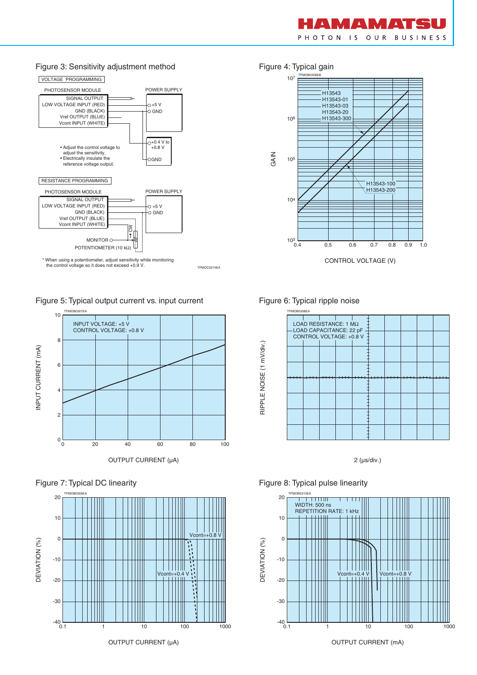

#### Figure 3: Sensitivity adjustment method Figure 4: Typical gain



Figure 5: Typical output current vs. input current







OUTPUT CURRENT (µA)



#### Figure 6: Typical ripple noise

RIPPLE NOISE (1 mV/div.)

RIPPLE NOISE (1 mV/div.)



2 (µs/div.)

#### Figure 8: Typical pulse linearity



OUTPUT CURRENT (mA)